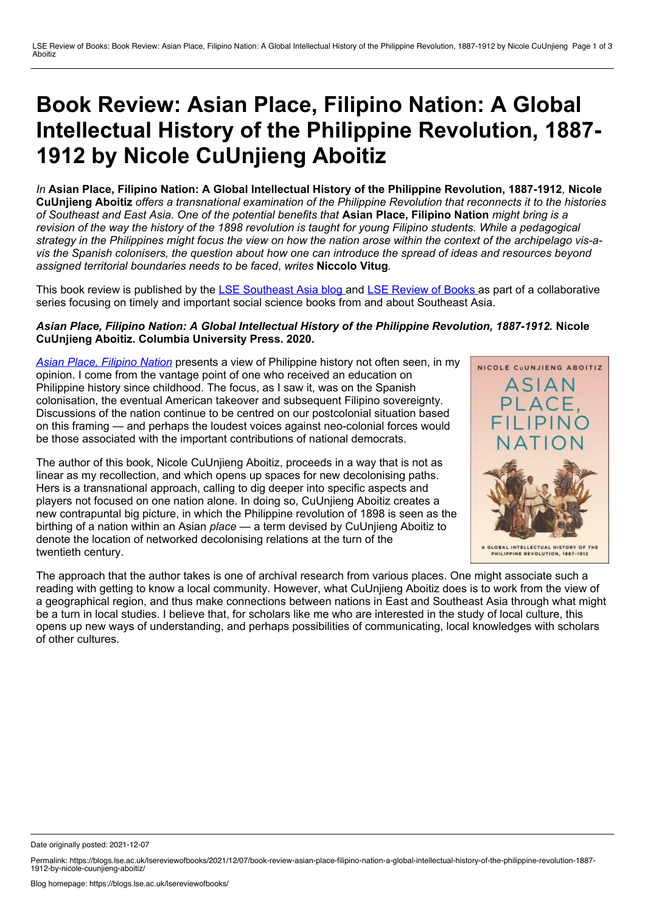## **Book Review: Asian Place, Filipino Nation: A Global Intellectual History of the Philippine Revolution, 1887- 1912 by Nicole CuUnjieng Aboitiz**

*In* **Asian Place, Filipino Nation: A Global Intellectual History of the Philippine Revolution, 1887-1912***,* **Nicole** CuUnjieng Aboitiz offers a transnational examination of the Philippine Revolution that reconnects it to the histories of Southeast and East Asia. One of the potential benefits that Asian Place, Filipino Nation might bring is a revision of the way the history of the 1898 revolution is taught for young Filipino students. While a pedagogical strategy in the Philippines might focus the view on how the nation arose within the context of the archipelago vis-avis the Spanish colonisers, the question about how one can introduce the spread of ideas and resources beyond *assigned territorial boundaries needs to be faced*, *writes* **Niccolo Vitug***.*

This book review is published by the LSE [Southeast](https://blogs.lse.ac.uk/seac/) Asia blog and LSE [Review](https://blogs.lse.ac.uk/lsereviewofbooks/) of Books as part of a collaborative series focusing on timely and important social science books from and about Southeast Asia.

## *Asian Place, Filipino Nation: A Global Intellectual History of the Philippine Revolution, 1887-1912.* **Nicole CuUnjieng Aboitiz. Columbia University Press. 2020.**

*Asian Place, [Filipino](http://cup.columbia.edu/book/asian-place-filipino-nation/9780231192156) Nation* presents a view of Philippine history not often seen, in my opinion. I come from the vantage point of one who received an education on Philippine history since childhood. The focus, as I saw it, was on the Spanish colonisation, the eventual American takeover and subsequent Filipino sovereignty. Discussions of the nation continue to be centred on our postcolonial situation based on this framing — and perhaps the loudest voices against neo-colonial forces would be those associated with the important contributions of national democrats.

The author of this book, Nicole CuUnjieng Aboitiz, proceeds in a way that is not as linear as my recollection, and which opens up spaces for new decolonising paths. Hers is a transnational approach, calling to dig deeper into specific aspects and players not focused on one nation alone. In doing so, CuUnjieng Aboitiz creates a new contrapuntal big picture, in which the Philippine revolution of 1898 is seen as the birthing of a nation within an Asian *place —* a term devised by CuUnjieng Aboitiz to denote the location of networked decolonising relations at the turn of the twentieth century.



The approach that the author takes is one of archival research from various places. One might associate such a reading with getting to know a local community. However, what CuUnjieng Aboitiz does is to work from the view of a geographical region, and thus make connections between nations in East and Southeast Asia through what might be a turn in local studies. I believe that, for scholars like me who are interested in the study of local culture, this opens up new ways of understanding, and perhaps possibilities of communicating, local knowledges with scholars of other cultures.

Date originally posted: 2021-12-07

Permalink: https://blogs.lse.ac.uk/lsereviewofbooks/2021/12/07/book-review-asian-place-filipino-nation-a-global-intellectual-history-of-the-philippine-revolution-1887-<br>1912-by-nicole-cuunjieng-aboitiz/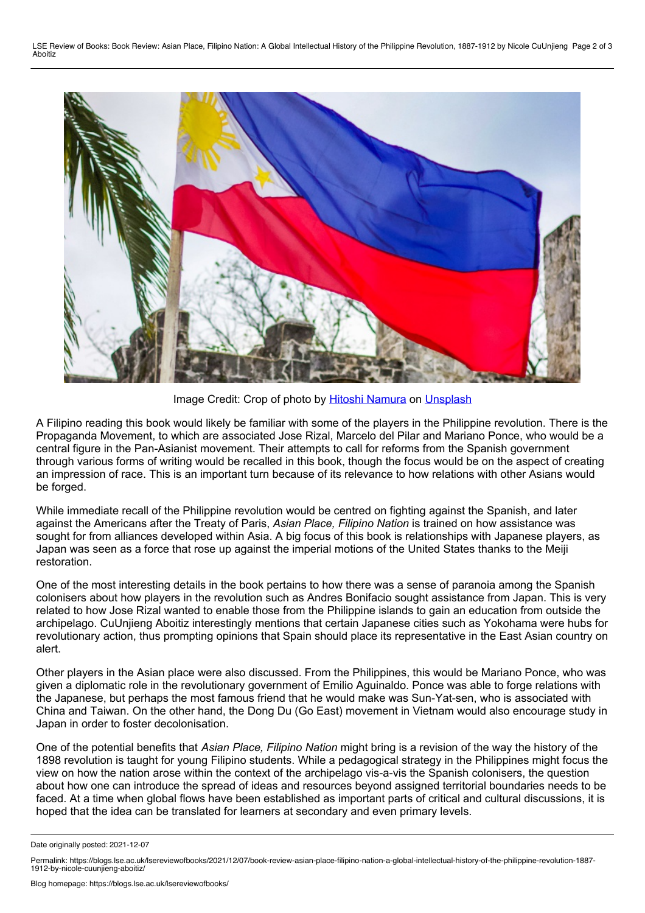

Image Credit: Crop of photo by Hitoshi [Namura](https://unsplash.com/@namu_photograph?utm_source=unsplash&utm_medium=referral&utm_content=creditCopyText) on [Unsplash](https://unsplash.com/@namu_photograph?utm_source=unsplash&utm_medium=referral&utm_content=creditCopyText)

A Filipino reading this book would likely be familiar with some of the players in the Philippine revolution. There is the Propaganda Movement, to which are associated Jose Rizal, Marcelo del Pilar and Mariano Ponce, who would be a central figure in the Pan-Asianist movement. Their attempts to call for reforms from the Spanish government through various forms of writing would be recalled in this book, though the focus would be on the aspect of creating an impression of race. This is an important turn because of its relevance to how relations with other Asians would be forged.

While immediate recall of the Philippine revolution would be centred on fighting against the Spanish, and later against the Americans after the Treaty of Paris, *Asian Place, Filipino Nation* is trained on how assistance was sought for from alliances developed within Asia. A big focus of this book is relationships with Japanese players, as Japan was seen as a force that rose up against the imperial motions of the United States thanks to the Meiji restoration.

One of the most interesting details in the book pertains to how there was a sense of paranoia among the Spanish colonisers about how players in the revolution such as Andres Bonifacio sought assistance from Japan. This is very related to how Jose Rizal wanted to enable those from the Philippine islands to gain an education from outside the archipelago. CuUnjieng Aboitiz interestingly mentions that certain Japanese cities such as Yokohama were hubs for revolutionary action, thus prompting opinions that Spain should place its representative in the East Asian country on alert.

Other players in the Asian place were also discussed. From the Philippines, this would be Mariano Ponce, who was given a diplomatic role in the revolutionary government of Emilio Aguinaldo. Ponce was able to forge relations with the Japanese, but perhaps the most famous friend that he would make was Sun-Yat-sen, who is associated with China and Taiwan. On the other hand, the Dong Du (Go East) movement in Vietnam would also encourage study in Japan in order to foster decolonisation.

One of the potential benefits that *Asian Place, Filipino Nation* might bring is a revision of the way the history of the 1898 revolution is taught for young Filipino students. While a pedagogical strategy in the Philippines might focus the view on how the nation arose within the context of the archipelago vis-a-vis the Spanish colonisers, the question about how one can introduce the spread of ideas and resources beyond assigned territorial boundaries needs to be faced. At a time when global flows have been established as important parts of critical and cultural discussions, it is hoped that the idea can be translated for learners at secondary and even primary levels.

Date originally posted: 2021-12-07

Permalink: https://blogs.lse.ac.uk/lsereviewofbooks/2021/12/07/book-review-asian-place-filipino-nation-a-global-intellectual-history-of-the-philippine-revolution-1887-<br>1912-by-nicole-cuuniieng-aboitiz/